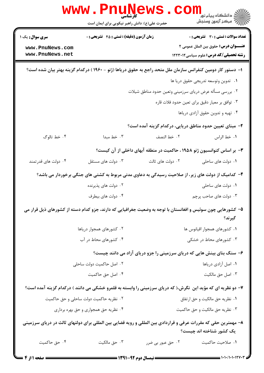|                                                                                                                                            | WWW.Pnun<br>حضرت علی(ع): دانش راهبر نیکویی برای ایمان است                                                     |                                                                         | ڪ دانشڪاه پيا <sub>م</sub> نور<br>ا∛ مرڪز آزمون وسنڊش                                                                                                                                                                                                                                                                                                                                                                 |
|--------------------------------------------------------------------------------------------------------------------------------------------|---------------------------------------------------------------------------------------------------------------|-------------------------------------------------------------------------|-----------------------------------------------------------------------------------------------------------------------------------------------------------------------------------------------------------------------------------------------------------------------------------------------------------------------------------------------------------------------------------------------------------------------|
| <b>سری سوال :</b> یک ۱                                                                                                                     | <b>زمان آزمون (دقیقه) : تستی : 45 تشریحی : 0</b>                                                              |                                                                         | <b>تعداد سوالات : تستي : 30 ٪ تشريحي : 0</b>                                                                                                                                                                                                                                                                                                                                                                          |
| www.PnuNews.com<br>www.PnuNews.net                                                                                                         |                                                                                                               |                                                                         | <b>عنــــوان درس:</b> حقوق بین الملل عمومی ۲<br><b>رشته تحصیلی/کد درس:</b> علوم سیاسی ۱۲۲۳۰۱۲                                                                                                                                                                                                                                                                                                                         |
|                                                                                                                                            | ا– دستور کار دومین کنفرانس سازمان ملل متحد راجع به حقوق دریاها (ژنو - ۱۹۶۰ ) درکدام گزینه بهتر بیان شده است؟  |                                                                         |                                                                                                                                                                                                                                                                                                                                                                                                                       |
|                                                                                                                                            |                                                                                                               |                                                                         | ٠١ تدوين وتوسعه تدريجي حقوق دريا ها                                                                                                                                                                                                                                                                                                                                                                                   |
|                                                                                                                                            | ۰۲ بررسی مسأله عرض دریای سرزمینی وتعین حدود مناطق شیلات                                                       |                                                                         |                                                                                                                                                                                                                                                                                                                                                                                                                       |
|                                                                                                                                            | ۰۳ توافق بر معيار دقيق براي تعين حدود فلات قاره                                                               |                                                                         |                                                                                                                                                                                                                                                                                                                                                                                                                       |
|                                                                                                                                            | ۰۴ تهیه و تدوین حقوق آزادی دریاها                                                                             |                                                                         |                                                                                                                                                                                                                                                                                                                                                                                                                       |
|                                                                                                                                            |                                                                                                               | ۲– مبنای تعیین حدود مناطق دریایی، درکدام گزینه آمده است؟                |                                                                                                                                                                                                                                                                                                                                                                                                                       |
| ۰۴ خط تالوگ                                                                                                                                | ۰۳ خط مبدا                                                                                                    | ٠٢ خط النصف                                                             | ٠١ خط الراس                                                                                                                                                                                                                                                                                                                                                                                                           |
|                                                                                                                                            |                                                                                                               | ۳- بر اساس کنوانسیون ژنو ۱۹۵۸ ، حاکمیت در منطقه آبهای داخلی از آن کیست؟ |                                                                                                                                                                                                                                                                                                                                                                                                                       |
| ۰۴ دولت های قدر تمند                                                                                                                       | ۰۳ دولت های مستقل                                                                                             | ۰۲ دولت های ثالث                                                        | ۰۱ دولت های ساحلی                                                                                                                                                                                                                                                                                                                                                                                                     |
|                                                                                                                                            | ۴– کدامیک از دولت های زیر، از صلاحیت رسیدگی به دعاوی مدنی مربوط به کشتی های جنگی برخوردار می باشد؟            |                                                                         |                                                                                                                                                                                                                                                                                                                                                                                                                       |
|                                                                                                                                            | ۰۲ دولت های پذیرنده                                                                                           |                                                                         | ۰۱ دولت های ساحلی                                                                                                                                                                                                                                                                                                                                                                                                     |
|                                                                                                                                            | ۰۴ دولت های بیطرف                                                                                             |                                                                         | ۰۳ دولت های صاحب پرچم                                                                                                                                                                                                                                                                                                                                                                                                 |
|                                                                                                                                            | ۵– کشورهایی چون سوئیس و افغانستان با توجه به وضعیت جغرافیایی که دارند، جزو کدام دسته از کشورهای ذیل قرار می   |                                                                         | گيرند؟                                                                                                                                                                                                                                                                                                                                                                                                                |
|                                                                                                                                            | ۰۲ کشورهای همجوار دریاها                                                                                      |                                                                         | ٠١ كشورهاى همجوار اقيانوس ها                                                                                                                                                                                                                                                                                                                                                                                          |
|                                                                                                                                            | ۰۴ کشورهای محاط در آب                                                                                         |                                                                         | ۰۳ کشورهای محاط در خشکی                                                                                                                                                                                                                                                                                                                                                                                               |
|                                                                                                                                            |                                                                                                               | ۶- سنگ بنای بینش هایی که دریای سرزمینی را جزو دریای آزاد می دانند چیست؟ |                                                                                                                                                                                                                                                                                                                                                                                                                       |
|                                                                                                                                            | ۰۲ اصل حاکمیت دولت ساحلی                                                                                      |                                                                         | ٠١. اصل آزادي درياها                                                                                                                                                                                                                                                                                                                                                                                                  |
|                                                                                                                                            | ۰۴ اصل حق حاكميت                                                                                              |                                                                         | ۰۳ اصل حق مالکیت                                                                                                                                                                                                                                                                                                                                                                                                      |
|                                                                                                                                            | ۷- دو نظریه ای که مؤید این ًنگرش،( که دریای سرزمینی را وابسته به قلمرو خشکی می دانند ) درکدام گزینه آمده است؟ |                                                                         |                                                                                                                                                                                                                                                                                                                                                                                                                       |
|                                                                                                                                            | ۰۲ نظریه حاکمیت دولت ساحلی و حق حاکمیت                                                                        |                                                                         | ٠١ نظريه حق مالكيت و حق ارتفاق                                                                                                                                                                                                                                                                                                                                                                                        |
|                                                                                                                                            | ۰۴ نظریه حق همجواري و حق بهره برداري                                                                          |                                                                         | ۰۳ نظریه حق مالکیت و حق حاکمیت                                                                                                                                                                                                                                                                                                                                                                                        |
| ۸– مهمترین حقی که مقررات عرفی و قراردادی بین المللی و رویه قضایی بین المللی برای دولتهای ثالث در دریای سرزمینی<br>یک کشور شناخته اند چیست؟ |                                                                                                               |                                                                         |                                                                                                                                                                                                                                                                                                                                                                                                                       |
| ۰۴ حق حاكميت                                                                                                                               | ۰۳ حق مالکیت                                                                                                  | ۰۲ حق عبور بي ضرر                                                       | ١. صلاحيت حاكميت                                                                                                                                                                                                                                                                                                                                                                                                      |
| = صفحه 1 از 4 ص                                                                                                                            |                                                                                                               |                                                                         | $\frac{1}{1-\frac{1}{1-\frac{1}{1-\frac{1}{1-\frac{1}{1-\frac{1}{1-\frac{1}{1-\frac{1}{1-\frac{1}{1-\frac{1}{1-\frac{1}{1-\frac{1}{1-\frac{1}{1-\frac{1}{1-\frac{1}{1-\frac{1}{1-\frac{1}{1-\frac{1}{1-\frac{1}{1-\frac{1}{1-\frac{1}{1-\frac{1}{1-\frac{1}{1-\frac{1}{1-\frac{1}{1-\frac{1}{1-\frac{1}{1-\frac{1}{1-\frac{1}{1-\frac{1}{1-\frac{1}{1-\frac{1}{1-\frac{1}{1-\frac{1}{1-\frac{1}{1-\frac{1}{1-\frac{1$ |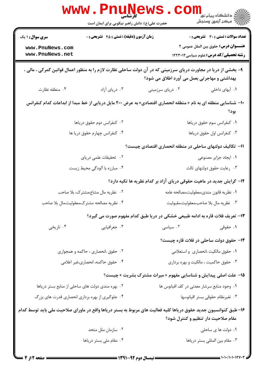|                                                                                                                                                                | <b>www.Pnunews</b><br>حضرت علی(ع): دانش راهبر نیکویی برای ایمان است |                                                                                              | \<br>﴿ دانشگاه پیام نور<br>﴿ مرکز آزمهن وسنجش |  |
|----------------------------------------------------------------------------------------------------------------------------------------------------------------|---------------------------------------------------------------------|----------------------------------------------------------------------------------------------|-----------------------------------------------|--|
| زمان آزمون (دقیقه) : تستی : 45 آتشریحی : 0<br><b>سری سوال : ۱ یک</b>                                                                                           |                                                                     |                                                                                              | <b>تعداد سوالات : تستي : 30 ٪ تشريحي : 0</b>  |  |
| www.PnuNews.com<br>www.PnuNews.net                                                                                                                             |                                                                     | <b>عنـــوان درس:</b> حقوق بین الملل عمومی ۲<br><b>رشته تحصیلی/کد درس:</b> علوم سیاسی ۱۲۲۳۰۱۲ |                                               |  |
| ۹- بخشی از دریا در مجاورت دریای سرزمینی که در آن دولت ساحلی نظارت لازم را به منظور اعمال قوانین گمرکی ، مالی ،<br>بهداشتی و مهاجرتی بعمل می آورد اطلاق می شود؟ |                                                                     |                                                                                              |                                               |  |
| ۰۴ منطقه نظارت                                                                                                                                                 | ۰۳ دریای آزاد                                                       | ۰۲ دریای سرزمینی                                                                             | ۰۱ آبهای داخلی                                |  |
| +ا– شناسایی منطقه ای به نام « منطقه انحصاری اقتصادی» به عرض ۲۰۰ مایل دریایی از خط مبدا از ابداعات کدام کنفرانس<br>بود؟                                         |                                                                     |                                                                                              |                                               |  |
| ۰۲ کنفرانس دوم حقوق دریاها                                                                                                                                     |                                                                     | ٠١ كنفرانس سوم حقوق درياها                                                                   |                                               |  |
|                                                                                                                                                                | ۰۴ کنفرانس چهارم حقوق دریا ها                                       |                                                                                              | ۰۳ کنفرانس اول حقوق دریاها                    |  |
|                                                                                                                                                                |                                                                     | 1۱– تکالیف دولتهای ساحلی در منطقه انحصاری اقتصادی چیست؟                                      |                                               |  |
|                                                                                                                                                                | ۲. تحقیقات علمی دریای                                               |                                                                                              | ٠١. ايجاد جزاير مصنوعي                        |  |
|                                                                                                                                                                | ۰۴ مبارزه با آلودگی محیط زیست                                       | ۰۳ رعايت حقوق دولتهاى ثالث                                                                   |                                               |  |
|                                                                                                                                                                |                                                                     | ۱۲- گرایش جدید در ماهیت حقوقی دریای آزاد بر کدام نظریه ها تکیه دارد؟                         |                                               |  |
|                                                                                                                                                                | ۰۲ نظریه مال مشاع،مشترک، بلا صاحب                                   | ۰۱ نظریه قانون مندی،معقولیت،مصالحه عامه                                                      |                                               |  |
| ۰۴ نظریه مصالحه مشترک،معقولیت،مال بلا صاحب                                                                                                                     |                                                                     | ٠٣ نظريه مال بلا صاحب،معقوليت،مقبوليت                                                        |                                               |  |
|                                                                                                                                                                |                                                                     | ۱۳- تعریف فلات قاره به ادامه طبیعی خشکی در دریا طبق کدام مفهوم صورت می گیرد؟                 |                                               |  |
| ۰۴ تاریخی                                                                                                                                                      | ۰۳ جغرافيايي                                                        | ۰۲ سیاسی                                                                                     | ۰۱ حقوقی                                      |  |
|                                                                                                                                                                |                                                                     | ۱۴– حقوق دولت ساحلی در فلات قاره چیست؟                                                       |                                               |  |
|                                                                                                                                                                | ۰۲ حقوق ،انحصاری ، حاکمه و همجواری                                  | ٠١ حقوق مالكيت ،انحصارى واستعلامى                                                            |                                               |  |
|                                                                                                                                                                | ۰۴ حقوق حاكمه، انحصارى،غير اعلامي                                   | ۰۳ حقوق حاکمیت ، مالکیت و بهره برداری                                                        |                                               |  |
|                                                                                                                                                                |                                                                     | <b>۱۵</b> - علت اصلی پیدایش و شناسایی مفهوم « میراث مشترک بشریت » چیست؟                      |                                               |  |
|                                                                                                                                                                | ۰۲ بهره مندی دولت های ساحلی از منابع بستر دریاها                    | ٠١. وجود منابع سرشار معدني در كف اقيانوس ها                                                  |                                               |  |
|                                                                                                                                                                | ۰۴ جلوگیری از بهره برداری انحصاری قدرت های بزرگ                     | ۰۳ تغیرنظام حقوقی بستر اقیانوسها                                                             |                                               |  |
| ۱۶– طبق کنوانسیون جدید حقوق دریاها کلیه فعالیت های مربوط به بستر دریاها واقع در ماورای صلاحیت ملی باید توسط کدام<br>مقام صلاحیت دار تنظیم و کنترل شود؟         |                                                                     |                                                                                              |                                               |  |
|                                                                                                                                                                | ۰۲ سازمان ملل متحد                                                  |                                                                                              | ۰۱ دولت ها ی ساحلی                            |  |
| ۰۴ مقام ملی بستر دریاها                                                                                                                                        |                                                                     | ٠٣ مقام بين المللي بستر درياها                                                               |                                               |  |
|                                                                                                                                                                |                                                                     |                                                                                              |                                               |  |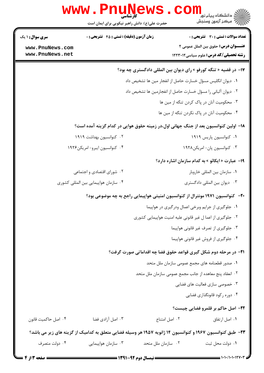| w w w                                                                                                            | ا <b>ULLY</b><br>کارشناسی<br>ڪ دانشڪاه پيام نور<br>ر <i>∕</i> = مرڪز آزمون وسنڊش<br>حضرت علی(ع): دانش راهبر نیکویی برای ایمان است                                                                                                                                                      |
|------------------------------------------------------------------------------------------------------------------|----------------------------------------------------------------------------------------------------------------------------------------------------------------------------------------------------------------------------------------------------------------------------------------|
| <b>زمان آزمون (دقیقه) : تستی : 45 تشریحی : 0</b><br><b>سری سوال : ۱ یک</b><br>www.PnuNews.com<br>www.PnuNews.net | <b>تعداد سوالات : تستي : 30 ٪ تشريحي : 0</b><br><b>عنـــوان درس:</b> حقوق بين الملل عمومي ٢<br><b>رشته تحصیلی/کد درس:</b> علوم سیاسی ۱۲۲۳۰۱۲                                                                                                                                           |
|                                                                                                                  | ۱۷- در قضیه « تنگه کورفو » رای دیوان بین المللی دادگستری چه بود؟<br>٠١ ديوان انگليس مسؤل خسارت حاصل از انفجار مين ها تشخيص داد<br>٠٢ ديوان آلباني را مسؤل خسارت حاصل از انفجارمين ها تشخيص داد                                                                                         |
|                                                                                                                  | ۰۳ محکومیت آنان در پاک کردن تنگه از مین ها<br>۰۴ محکومیت آنان در پاک نکردن تنگه از مین ها                                                                                                                                                                                              |
| ۰۲ کنوانسیون بهداشت ۱۹۱۹<br>۰۴ کنوانسیون ایبرو- امریکن۱۹۲۶                                                       | ۱۸– اولین کنوانسیون بعد از جنگ جهانی اول،در زمینه حقوق هوایی در کدام گزینه آمده است؟<br>۰۱ کنوانسیون پاریس ۱۹۱۹<br>۰۳ کنوانسیون پان-امریکن۱۹۲۸                                                                                                                                         |
| ۰۲ شورای اقتصادی و اجتماعی<br>۰۴ سازمان هواپیمایی بین المللی کشوری                                               | 19- عبارت « ایکائو » به کدام سازمان اشاره دارد؟<br>٠١ سازمان بين المللي خاروبار<br>۰۳ دیوان بین المللی دادگستری                                                                                                                                                                        |
|                                                                                                                  | +۲-۔ کنوانسیون ۱۹۷۱ مونترال از کنوانسیون امنیتی هواپیمایی راجع به چه موضوعی بود؟<br>۰۱ جلوگیری از جرایم وبرخی اعمال ودرگیری در هواپیما<br>۰۲ جلوگیری از اعما ل غیر قانونی علیه امنیت هواپیمایی کشوری<br>۰۳ جلوگیری از تصرف غیر قانونی هواپیما<br>۰۴ جلوگیری از فروش غیر قانونی هواپیما |
|                                                                                                                  | <b>۲۱</b> - در مرحله دوم شکل گیری قواعد حقوق فضا چه اقداماتی صورت گرفت؟<br>۰۱ صدور قطعنامه های مجمع عمومی سازمان ملل متحد<br>۰۲ انعقاد پنج معاهده از جانب مجمع عمومی سازمان ملل متحد<br>۰۳ خصوصی سازی فعالیت های فضایی<br>۰۴ دوره رکود قانونگذاری فضایی                                |
| ۰۴ اصل حاكميت قانون<br>۰۳ اصل آزادی فضا<br>۰۴ دولت متصرف<br>۰۳ سازمان هواپیمایی                                  | ۲۲- اصل حاکم بر قلمرو فضایی چیست؟<br>٠٢ اصل امتناع<br>۰۱ اصل ارتفاق<br>۲۳– طبق کنوانسیون ۱۹۶۷ و کنوانسیون ۱۴ ژانویه ۱۹۵۷ هر وسیله فضایی متعلق به کدامیک از گزینه های زیر می باشد؟<br>۰۲ سازمان ملل متحد<br>٠١. دولت محل ثبت                                                            |

 $= 1.1 - 11.1 + 174$